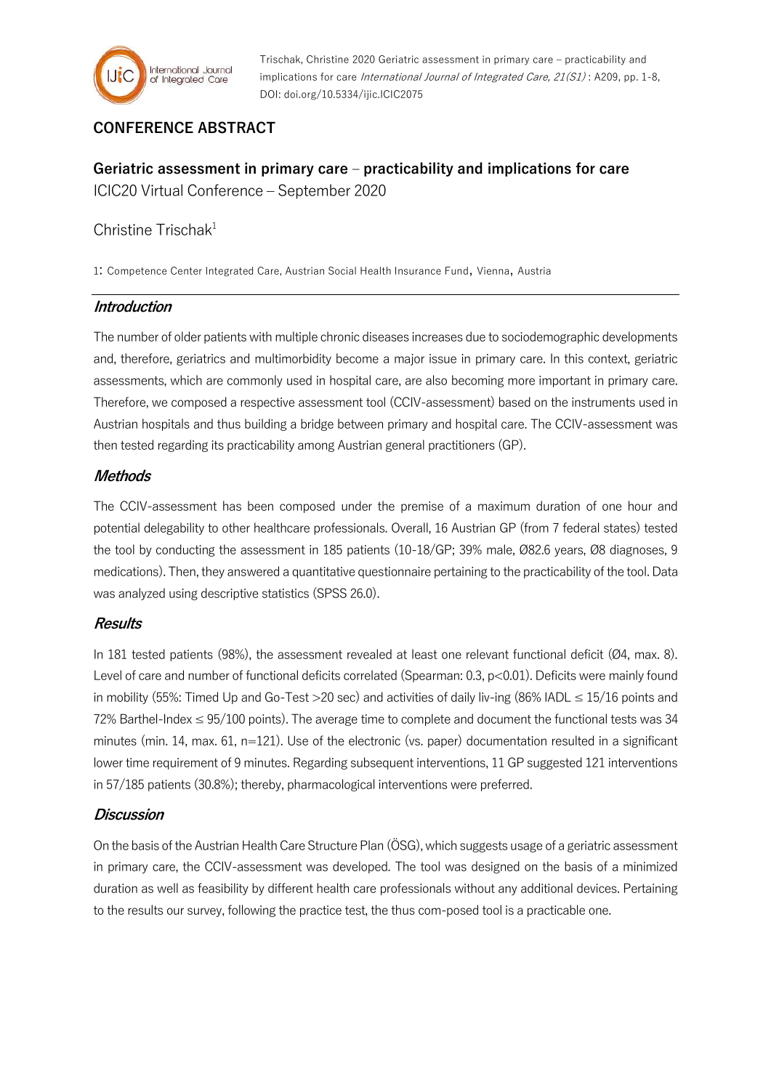

Trischak, Christine 2020 Geriatric assessment in primary care – practicability and implications for care International Journal of Integrated Care, 21(S1): A209, pp. 1-8, DOI: doi.org/10.5334/ijic.ICIC2075

# **CONFERENCE ABSTRACT**

# **Geriatric assessment in primary care – practicability and implications for care** ICIC20 Virtual Conference – September 2020

# Christine Trischak $1$

1: Competence Center Integrated Care, Austrian Social Health Insurance Fund, Vienna, Austria

#### **Introduction**

The number of older patients with multiple chronic diseases increases due to sociodemographic developments and, therefore, geriatrics and multimorbidity become a major issue in primary care. In this context, geriatric assessments, which are commonly used in hospital care, are also becoming more important in primary care. Therefore, we composed a respective assessment tool (CCIV-assessment) based on the instruments used in Austrian hospitals and thus building a bridge between primary and hospital care. The CCIV-assessment was then tested regarding its practicability among Austrian general practitioners (GP).

## **Methods**

The CCIV-assessment has been composed under the premise of a maximum duration of one hour and potential delegability to other healthcare professionals. Overall, 16 Austrian GP (from 7 federal states) tested the tool by conducting the assessment in 185 patients (10-18/GP; 39% male, Ø82.6 years, Ø8 diagnoses, 9 medications). Then, they answered a quantitative questionnaire pertaining to the practicability of the tool. Data was analyzed using descriptive statistics (SPSS 26.0).

#### **Results**

In 181 tested patients (98%), the assessment revealed at least one relevant functional deficit (Ø4, max. 8). Level of care and number of functional deficits correlated (Spearman: 0.3, p<0.01). Deficits were mainly found in mobility (55%: Timed Up and Go-Test >20 sec) and activities of daily liv-ing (86% IADL ≤ 15/16 points and 72% Barthel-Index  $\leq$  95/100 points). The average time to complete and document the functional tests was 34 minutes (min. 14, max. 61, n=121). Use of the electronic (vs. paper) documentation resulted in a significant lower time requirement of 9 minutes. Regarding subsequent interventions, 11 GP suggested 121 interventions in 57/185 patients (30.8%); thereby, pharmacological interventions were preferred.

#### **Discussion**

On the basis of the Austrian Health Care Structure Plan (ÖSG), which suggests usage of a geriatric assessment in primary care, the CCIV-assessment was developed. The tool was designed on the basis of a minimized duration as well as feasibility by different health care professionals without any additional devices. Pertaining to the results our survey, following the practice test, the thus com-posed tool is a practicable one.